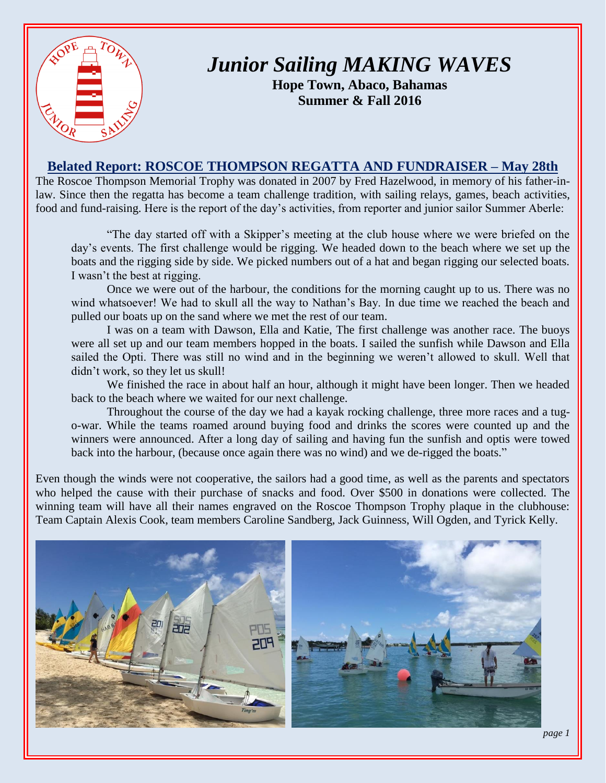

## *Junior Sailing MAKING WAVES*

**Hope Town, Abaco, Bahamas Summer & Fall 2016**

## **Belated Report: ROSCOE THOMPSON REGATTA AND FUNDRAISER – May 28th**

The Roscoe Thompson Memorial Trophy was donated in 2007 by Fred Hazelwood, in memory of his father-inlaw. Since then the regatta has become a team challenge tradition, with sailing relays, games, beach activities, food and fund-raising. Here is the report of the day's activities, from reporter and junior sailor Summer Aberle:

"The day started off with a Skipper's meeting at the club house where we were briefed on the day's events. The first challenge would be rigging. We headed down to the beach where we set up the boats and the rigging side by side. We picked numbers out of a hat and began rigging our selected boats. I wasn't the best at rigging.

Once we were out of the harbour, the conditions for the morning caught up to us. There was no wind whatsoever! We had to skull all the way to Nathan's Bay. In due time we reached the beach and pulled our boats up on the sand where we met the rest of our team.

I was on a team with Dawson, Ella and Katie, The first challenge was another race. The buoys were all set up and our team members hopped in the boats. I sailed the sunfish while Dawson and Ella sailed the Opti. There was still no wind and in the beginning we weren't allowed to skull. Well that didn't work, so they let us skull!

We finished the race in about half an hour, although it might have been longer. Then we headed back to the beach where we waited for our next challenge.

Throughout the course of the day we had a kayak rocking challenge, three more races and a tugo-war. While the teams roamed around buying food and drinks the scores were counted up and the winners were announced. After a long day of sailing and having fun the sunfish and optis were towed back into the harbour, (because once again there was no wind) and we de-rigged the boats."

Even though the winds were not cooperative, the sailors had a good time, as well as the parents and spectators who helped the cause with their purchase of snacks and food. Over \$500 in donations were collected. The winning team will have all their names engraved on the Roscoe Thompson Trophy plaque in the clubhouse: Team Captain Alexis Cook, team members Caroline Sandberg, Jack Guinness, Will Ogden, and Tyrick Kelly.